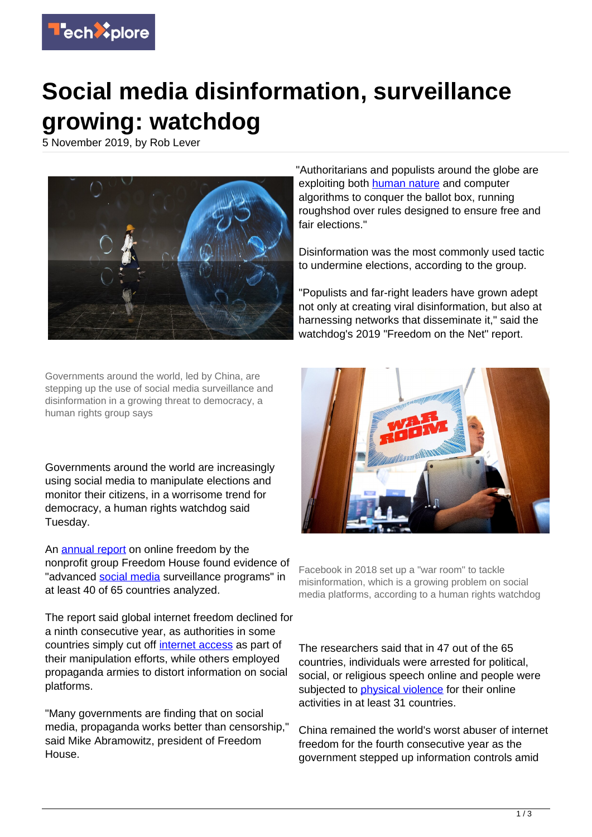

## **Social media disinformation, surveillance growing: watchdog**

5 November 2019, by Rob Lever



Governments around the world, led by China, are stepping up the use of social media surveillance and disinformation in a growing threat to democracy, a human rights group says

Governments around the world are increasingly using social media to manipulate elections and monitor their citizens, in a worrisome trend for democracy, a human rights watchdog said Tuesday.

An [annual report](https://techxplore.com/tags/annual+report/) on online freedom by the nonprofit group Freedom House found evidence of "advanced [social media](https://techxplore.com/tags/social+media/) surveillance programs" in at least 40 of 65 countries analyzed.

The report said global internet freedom declined for a ninth consecutive year, as authorities in some countries simply cut off [internet access](https://techxplore.com/tags/internet+access/) as part of their manipulation efforts, while others employed propaganda armies to distort information on social platforms.

"Many governments are finding that on social media, propaganda works better than censorship," said Mike Abramowitz, president of Freedom House.

"Authoritarians and populists around the globe are exploiting both [human nature](https://techxplore.com/tags/human+nature/) and computer algorithms to conquer the ballot box, running roughshod over rules designed to ensure free and fair elections."

Disinformation was the most commonly used tactic to undermine elections, according to the group.

"Populists and far-right leaders have grown adept not only at creating viral disinformation, but also at harnessing networks that disseminate it," said the watchdog's 2019 "Freedom on the Net" report.



Facebook in 2018 set up a "war room" to tackle misinformation, which is a growing problem on social media platforms, according to a human rights watchdog

The researchers said that in 47 out of the 65 countries, individuals were arrested for political, social, or religious speech online and people were subjected to [physical violence](https://techxplore.com/tags/physical+violence/) for their online activities in at least 31 countries.

China remained the world's worst abuser of internet freedom for the fourth consecutive year as the government stepped up information controls amid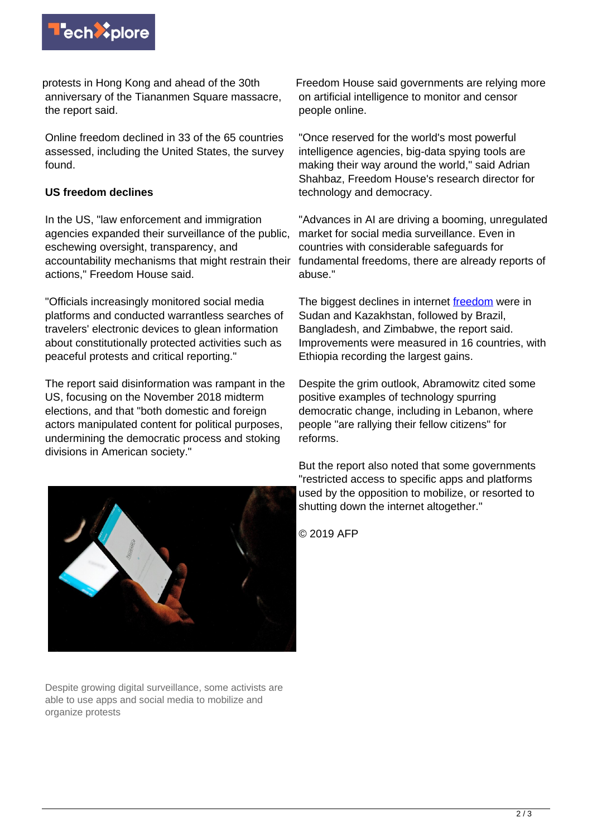

protests in Hong Kong and ahead of the 30th anniversary of the Tiananmen Square massacre, the report said.

Online freedom declined in 33 of the 65 countries assessed, including the United States, the survey found.

## **US freedom declines**

In the US, "law enforcement and immigration agencies expanded their surveillance of the public, eschewing oversight, transparency, and accountability mechanisms that might restrain their actions," Freedom House said.

"Officials increasingly monitored social media platforms and conducted warrantless searches of travelers' electronic devices to glean information about constitutionally protected activities such as peaceful protests and critical reporting."

The report said disinformation was rampant in the US, focusing on the November 2018 midterm elections, and that "both domestic and foreign actors manipulated content for political purposes, undermining the democratic process and stoking divisions in American society."



Despite growing digital surveillance, some activists are able to use apps and social media to mobilize and organize protests

Freedom House said governments are relying more on artificial intelligence to monitor and censor people online.

"Once reserved for the world's most powerful intelligence agencies, big-data spying tools are making their way around the world," said Adrian Shahbaz, Freedom House's research director for technology and democracy.

"Advances in AI are driving a booming, unregulated market for social media surveillance. Even in countries with considerable safeguards for fundamental freedoms, there are already reports of abuse."

The biggest declines in internet [freedom](https://techxplore.com/tags/freedom/) were in Sudan and Kazakhstan, followed by Brazil, Bangladesh, and Zimbabwe, the report said. Improvements were measured in 16 countries, with Ethiopia recording the largest gains.

Despite the grim outlook, Abramowitz cited some positive examples of technology spurring democratic change, including in Lebanon, where people "are rallying their fellow citizens" for reforms.

But the report also noted that some governments "restricted access to specific apps and platforms used by the opposition to mobilize, or resorted to shutting down the internet altogether."

© 2019 AFP